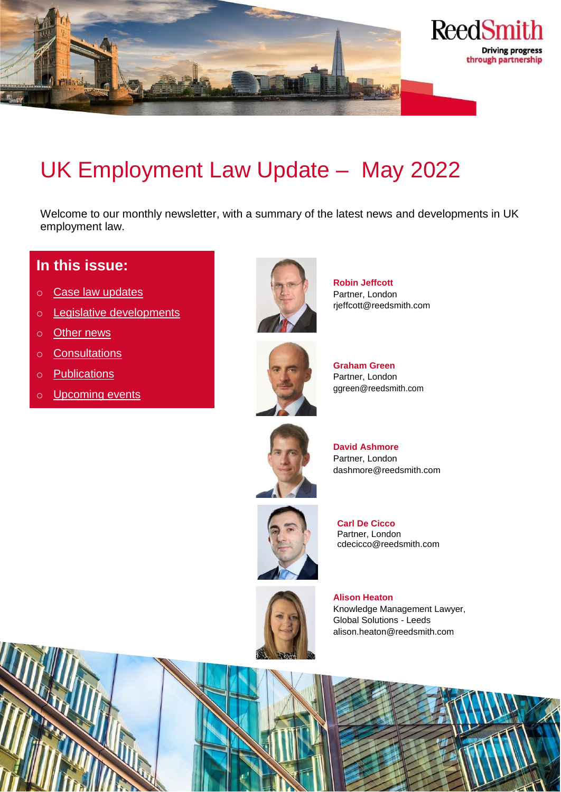

## UK Employment Law Update – May 2022

Welcome to our monthly newsletter, with a summary of the latest news and developments in UK employment law.

#### **In this issue:**

- o [Case law](#page-1-0) updates
- o **Legislative [developments](#page-1-1)**
- o [Other news](#page-1-2)
- o [Consultations](#page-2-0)
- o **[Publications](#page-2-1)**
- o [Upcoming events](#page-2-2)



**Robin Jeffcott** Partner, London [rjeffcott@reedsmith.com](mailto:rjeffcott@reedsmith.com)



**Graham Green**  Partner, London [ggreen@reedsmith.com](mailto:ggreen@reedsmith.com)



**David Ashmore** Partner, London [dashmore@reedsmith.com](mailto:dashmore@reedsmith.com)



**Carl De Cicco** Partner, London [cdecicco@reedsmith.com](mailto:cdecicco@reedsmith.com)



**Alison Heaton** Knowledge Management Lawyer, Global Solutions - Leeds [alison.heaton@reedsmith.com](mailto:alison.heaton@reedsmith.com)

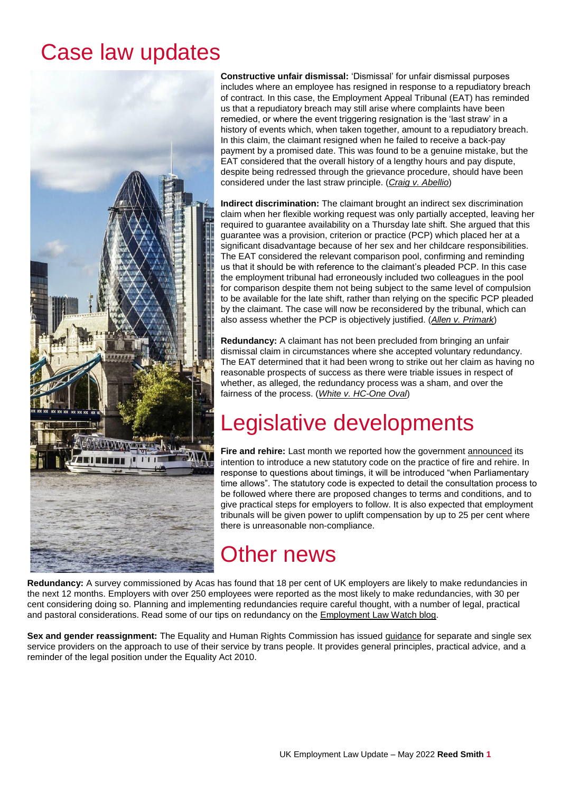## <span id="page-1-0"></span>Case law updates



**Constructive unfair dismissal:** 'Dismissal' for unfair dismissal purposes includes where an employee has resigned in response to a repudiatory breach of contract. In this case, the Employment Appeal Tribunal (EAT) has reminded us that a repudiatory breach may still arise where complaints have been remedied, or where the event triggering resignation is the 'last straw' in a history of events which, when taken together, amount to a repudiatory breach. In this claim, the claimant resigned when he failed to receive a back-pay payment by a promised date. This was found to be a genuine mistake, but the EAT considered that the overall history of a lengthy hours and pay dispute, despite being redressed through the grievance procedure, should have been considered under the last straw principle. (*[Craig v. Abellio](https://communications.reedsmith.com/email_handler.aspx?sid=blankform&redirect=https%3a%2f%2fwww.bailii.org%2fuk%2fcases%2fUKEAT%2f2021%2f2020_001012.pdf&checksum=E94B4ED3)*)

**Indirect discrimination:** The claimant brought an indirect sex discrimination claim when her flexible working request was only partially accepted, leaving her required to guarantee availability on a Thursday late shift. She argued that this guarantee was a provision, criterion or practice (PCP) which placed her at a significant disadvantage because of her sex and her childcare responsibilities. The EAT considered the relevant comparison pool, confirming and reminding us that it should be with reference to the claimant's pleaded PCP. In this case the employment tribunal had erroneously included two colleagues in the pool for comparison despite them not being subject to the same level of compulsion to be available for the late shift, rather than relying on the specific PCP pleaded by the claimant. The case will now be reconsidered by the tribunal, which can also assess whether the PCP is objectively justified. (*[Allen v. Primark](https://communications.reedsmith.com/email_handler.aspx?sid=blankform&redirect=https%3a%2f%2fwww.bailii.org%2fuk%2fcases%2fUKEAT%2f2022%2f57.html&checksum=CB382766)*)

**Redundancy:** A claimant has not been precluded from bringing an unfair dismissal claim in circumstances where she accepted voluntary redundancy. The EAT determined that it had been wrong to strike out her claim as having no reasonable prospects of success as there were triable issues in respect of whether, as alleged, the redundancy process was a sham, and over the fairness of the process. (*[White v. HC-One Oval](https://communications.reedsmith.com/email_handler.aspx?sid=blankform&redirect=https%3a%2f%2fuk.practicallaw.thomsonreuters.com%2fLink%2fDocument%2fBlob%2fI8174FD30B74F11EC9A02F24C5FE47F83.pdf%3fimageFileName%3dMS%2520N%2520White%2520v%2520HC-One%2520Oval%2520Ltd%26targetType%3dinline%26originationContext%3ddocument%26transitionType%3dDocumentImage%26uniqueId%3da563c59e-0591-42cb-83cd-9127adb8c454%26ppcid%3df0c9e78bd9c8498688bd14b0f3810491%26contextData%3d(sc.DocLink)%26comp%3dwluk&checksum=264E165A)*)

## Legislative developments

**Fire and rehire:** Last month we reported how the government [announced](https://communications.reedsmith.com/email_handler.aspx?sid=blankform&redirect=https%3a%2f%2fwww.gov.uk%2fgovernment%2fnews%2fnew-statutory-code-to-prevent-unscrupulous-employers-using-fire-and-rehire-tactics&checksum=E1D7D887) its intention to introduce a new statutory code on the practice of fire and rehire. In response to questions about timings, it will be introduced "when Parliamentary time allows". The statutory code is expected to detail the consultation process to be followed where there are proposed changes to terms and conditions, and to give practical steps for employers to follow. It is also expected that employment tribunals will be given power to uplift compensation by up to 25 per cent where there is unreasonable non-compliance.

#### Other news

<span id="page-1-2"></span><span id="page-1-1"></span>**Redundancy:** A survey commissioned by Acas has found that 18 per cent of UK employers are likely to make redundancies in the next 12 months. Employers with over 250 employees were reported as the most likely to make redundancies, with 30 per cent considering doing so. Planning and implementing redundancies require careful thought, with a number of legal, practical and pastoral considerations. Read some of our tips on redundancy on the [Employment Law Watch blog.](https://communications.reedsmith.com/email_handler.aspx?sid=blankform&redirect=https%3a%2f%2fwww.employmentlawwatch.com%2f2022%2f03%2farticles%2femployment-uk%2fworkplace-redundancies-what-is-lawful%2f&checksum=5BF33506)

**Sex and gender reassignment:** The Equality and Human Rights Commission has issued [guidance](https://communications.reedsmith.com/email_handler.aspx?sid=blankform&redirect=https%3a%2f%2fwww.equalityhumanrights.com%2fen%2fadvice-and-guidance%2fseparate-and-single-sex-service-providers-guide-equality-act-sex-and-gender&checksum=1358D774) for separate and single sex service providers on the approach to use of their service by trans people. It provides general principles, practical advice, and a reminder of the legal position under the Equality Act 2010.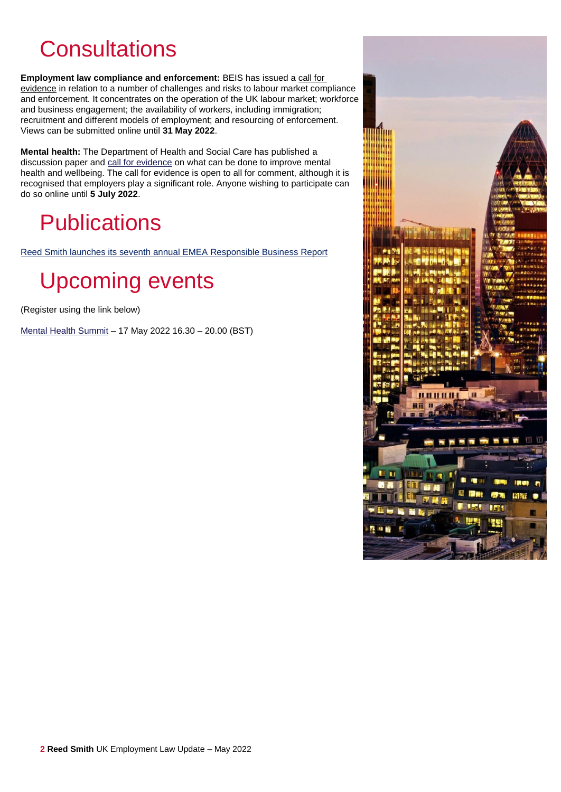# <span id="page-2-0"></span>**Consultations**

**Employment law compliance and enforcement: BEIS has issued a call for** [evidence](https://communications.reedsmith.com/email_handler.aspx?sid=blankform&redirect=https%3a%2f%2fwww.gov.uk%2fgovernment%2fconsultations%2flabour-market-enforcement-strategy-2023-to-2024-call-for-evidence%2flabour-market-enforcement-strategy-2023-to-2024-call-for-evidence&checksum=CC62E3EB) in relation to a number of challenges and risks to labour market compliance and enforcement. It concentrates on the operation of the UK labour market; workforce and business engagement; the availability of workers, including immigration; recruitment and different models of employment; and resourcing of enforcement. Views can be submitted online until **31 May 2022**.

**Mental health:** The Department of Health and Social Care has published a discussion paper and [call for evidence](https://communications.reedsmith.com/email_handler.aspx?sid=blankform&redirect=https%3a%2f%2fwww.gov.uk%2fgovernment%2fconsultations%2fmental-health-and-wellbeing-plan-discussion-paper-and-call-for-evidence&checksum=AB574ED4) on what can be done to improve mental health and wellbeing. The call for evidence is open to all for comment, although it is recognised that employers play a significant role. Anyone wishing to participate can do so online until **5 July 2022**.

# <span id="page-2-1"></span>**Publications**

<span id="page-2-2"></span>[Reed Smith launches its seventh annual EMEA Responsible Business Rep](https://communications.reedsmith.com/email_handler.aspx?sid=blankform&redirect=https%3a%2f%2fwww.reedsmith.com%2fen%2fnews%2f2021%2f04%2freed-smith-launches-its-seventh-annual-emea-responsible-business-report&checksum=8972485C)ort

## Upcoming events

(Register using the link below)

[Mental Health Summit](https://communications.reedsmith.com/email_handler.aspx?sid=blankform&redirect=https%3a%2f%2flumen.webcasts.com%2fstarthere.jsp%3fei%3d1538474%26tp_key%3d4b1dd877b2&checksum=E09A5EA9) – 17 May 2022 16.30 – 20.00 (BST)